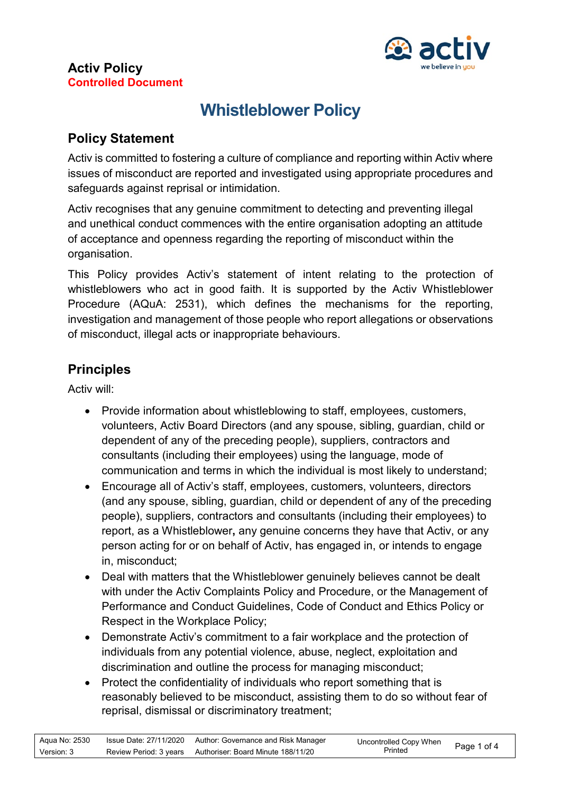

# **Whistleblower Policy**

## **Policy Statement**

Activ is committed to fostering a culture of compliance and reporting within Activ where issues of misconduct are reported and investigated using appropriate procedures and safeguards against reprisal or intimidation.

Activ recognises that any genuine commitment to detecting and preventing illegal and unethical conduct commences with the entire organisation adopting an attitude of acceptance and openness regarding the reporting of misconduct within the organisation.

This Policy provides Activ's statement of intent relating to the protection of whistleblowers who act in good faith. It is supported by the Activ Whistleblower Procedure (AQuA: 2531), which defines the mechanisms for the reporting, investigation and management of those people who report allegations or observations of misconduct, illegal acts or inappropriate behaviours.

## **Principles**

Activ will:

- Provide information about whistleblowing to staff, employees, customers, volunteers, Activ Board Directors (and any spouse, sibling, guardian, child or dependent of any of the preceding people), suppliers, contractors and consultants (including their employees) using the language, mode of communication and terms in which the individual is most likely to understand;
- Encourage all of Activ's staff, employees, customers, volunteers, directors (and any spouse, sibling, guardian, child or dependent of any of the preceding people), suppliers, contractors and consultants (including their employees) to report, as a Whistleblower**,** any genuine concerns they have that Activ, or any person acting for or on behalf of Activ, has engaged in, or intends to engage in, misconduct;
- Deal with matters that the Whistleblower genuinely believes cannot be dealt with under the Activ Complaints Policy and Procedure, or the Management of Performance and Conduct Guidelines, Code of Conduct and Ethics Policy or Respect in the Workplace Policy;
- Demonstrate Activ's commitment to a fair workplace and the protection of individuals from any potential violence, abuse, neglect, exploitation and discrimination and outline the process for managing misconduct;
- Protect the confidentiality of individuals who report something that is reasonably believed to be misconduct, assisting them to do so without fear of reprisal, dismissal or discriminatory treatment;

| Aqua No: 2530 | Issue Date: 27/11/2020 | Author: Governance and Risk Manager | Uncontrolled Copy When | Page 1 of 4 |
|---------------|------------------------|-------------------------------------|------------------------|-------------|
| Version: 3    | Review Period: 3 years | Authoriser: Board Minute 188/11/20  | Printed                |             |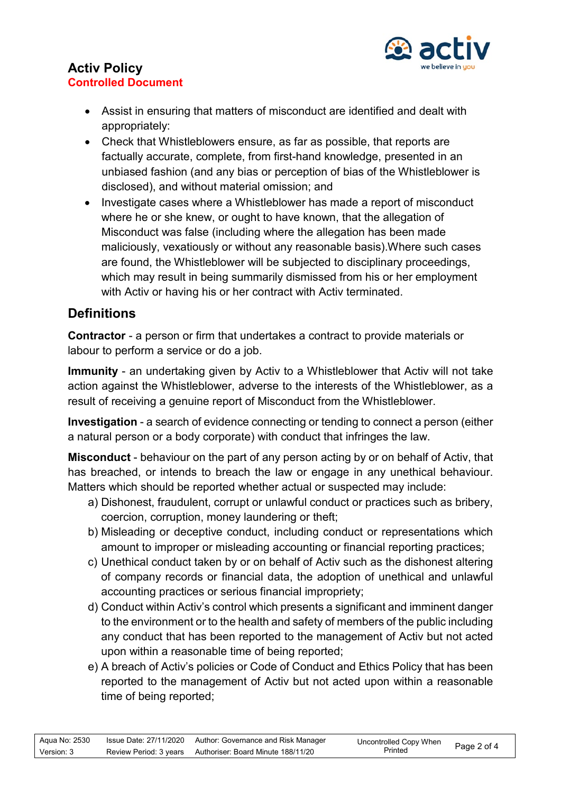

- Assist in ensuring that matters of misconduct are identified and dealt with appropriately:
- Check that Whistleblowers ensure, as far as possible, that reports are factually accurate, complete, from first-hand knowledge, presented in an unbiased fashion (and any bias or perception of bias of the Whistleblower is disclosed), and without material omission; and
- Investigate cases where a Whistleblower has made a report of misconduct where he or she knew, or ought to have known, that the allegation of Misconduct was false (including where the allegation has been made maliciously, vexatiously or without any reasonable basis).Where such cases are found, the Whistleblower will be subjected to disciplinary proceedings, which may result in being summarily dismissed from his or her employment with Activ or having his or her contract with Activ terminated.

# **Definitions**

**Contractor** - a person or firm that undertakes a contract to provide materials or labour to perform a service or do a job.

**Immunity** - an undertaking given by Activ to a Whistleblower that Activ will not take action against the Whistleblower, adverse to the interests of the Whistleblower, as a result of receiving a genuine report of Misconduct from the Whistleblower.

**Investigation** - a search of evidence connecting or tending to connect a person (either a natural person or a body corporate) with conduct that infringes the law.

**Misconduct** - behaviour on the part of any person acting by or on behalf of Activ, that has breached, or intends to breach the law or engage in any unethical behaviour. Matters which should be reported whether actual or suspected may include:

- a) Dishonest, fraudulent, corrupt or unlawful conduct or practices such as bribery, coercion, corruption, money laundering or theft;
- b) Misleading or deceptive conduct, including conduct or representations which amount to improper or misleading accounting or financial reporting practices;
- c) Unethical conduct taken by or on behalf of Activ such as the dishonest altering of company records or financial data, the adoption of unethical and unlawful accounting practices or serious financial impropriety;
- d) Conduct within Activ's control which presents a significant and imminent danger to the environment or to the health and safety of members of the public including any conduct that has been reported to the management of Activ but not acted upon within a reasonable time of being reported;
- e) A breach of Activ's policies or Code of Conduct and Ethics Policy that has been reported to the management of Activ but not acted upon within a reasonable time of being reported;

| Aqua No: 2530 | Issue Date: 27/11/2020 | Author: Governance and Risk Manager                       | Uncontrolled Copy When<br>Printed | Page 2 of 4 |
|---------------|------------------------|-----------------------------------------------------------|-----------------------------------|-------------|
| Version: 3    |                        | Review Period: 3 years Authoriser: Board Minute 188/11/20 |                                   |             |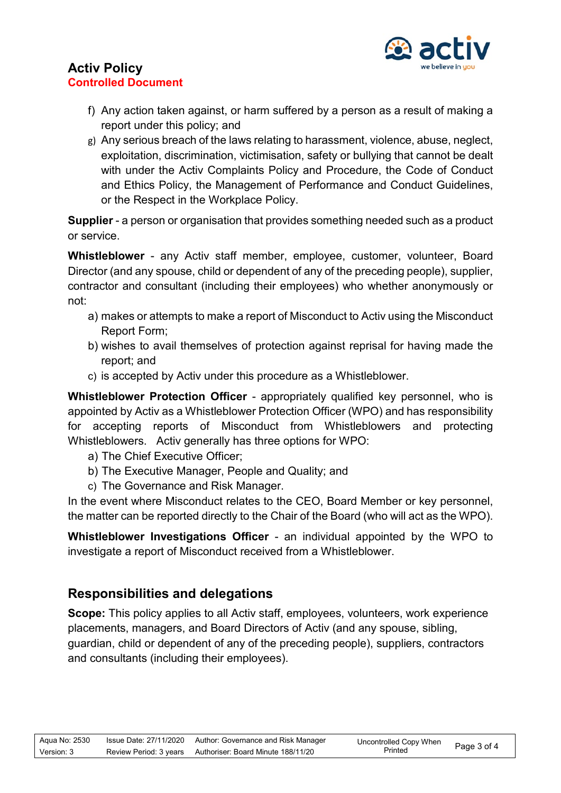

- f) Any action taken against, or harm suffered by a person as a result of making a report under this policy; and
- g) Any serious breach of the laws relating to harassment, violence, abuse, neglect, exploitation, discrimination, victimisation, safety or bullying that cannot be dealt with under the Activ Complaints Policy and Procedure, the Code of Conduct and Ethics Policy, the Management of Performance and Conduct Guidelines, or the Respect in the Workplace Policy.

**Supplier** - a person or organisation that provides something needed such as a product or service.

**Whistleblower** - any Activ staff member, employee, customer, volunteer, Board Director (and any spouse, child or dependent of any of the preceding people), supplier, contractor and consultant (including their employees) who whether anonymously or not:

- a) makes or attempts to make a report of Misconduct to Activ using the Misconduct Report Form;
- b) wishes to avail themselves of protection against reprisal for having made the report; and
- c) is accepted by Activ under this procedure as a Whistleblower.

**Whistleblower Protection Officer** - appropriately qualified key personnel, who is appointed by Activ as a Whistleblower Protection Officer (WPO) and has responsibility for accepting reports of Misconduct from Whistleblowers and protecting Whistleblowers. Activ generally has three options for WPO:

- a) The Chief Executive Officer;
- b) The Executive Manager, People and Quality; and
- c) The Governance and Risk Manager.

In the event where Misconduct relates to the CEO, Board Member or key personnel, the matter can be reported directly to the Chair of the Board (who will act as the WPO).

**Whistleblower Investigations Officer** - an individual appointed by the WPO to investigate a report of Misconduct received from a Whistleblower.

## **Responsibilities and delegations**

**Scope:** This policy applies to all Activ staff, employees, volunteers, work experience placements, managers, and Board Directors of Activ (and any spouse, sibling, guardian, child or dependent of any of the preceding people), suppliers, contractors and consultants (including their employees).